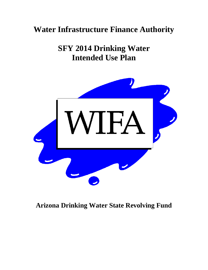# **Water Infrastructure Finance Authority**

**SFY 2014 Drinking Water Intended Use Plan** 



# **Arizona Drinking Water State Revolving Fund**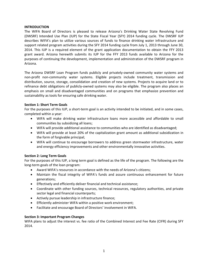# **INTRODUCTION**

The WIFA Board of Directors is pleased to release Arizona's Drinking Water State Revolving Fund (DWSRF) Intended Use Plan (IUP) for the State Fiscal Year (SFY) 2014 funding cycle. The DWSRF IUP describes WIFA's plan to utilize various sources of funds to finance drinking water infrastructure and support related program activities during the SFY 2014 funding cycle from July 1, 2013 through June 30, 2014. This IUP is a required element of the grant application documentation to obtain the FFY 2013 grant award. Arizona herewith submits its IUP for the FFY 2013 funds available to Arizona for the purposes of continuing the development, implementation and administration of the DWSRF program in Arizona.

The Arizona DWSRF Loan Program funds publicly and privately‐owned community water systems and non‐profit non‐community water systems. Eligible projects include treatment, transmission and distribution, source, storage, consolidation and creation of new systems. Projects to acquire land or to refinance debt obligations of publicly-owned systems may also be eligible. The program also places an emphasis on small and disadvantaged communities and on programs that emphasize prevention and sustainability as tools for ensuring safe drinking water.

# **Section 1: Short Term Goals**

For the purposes of this IUP, a short-term goal is an activity intended to be initiated, and in some cases, completed within a year:

- WIFA will make drinking water infrastructure loans more accessible and affordable to small communities by subsidizing all loans;
- WIFA will provide additional assistance to communities who are identified as disadvantaged;
- WIFA will provide at least 20% of the capitalization grant amount as additional subsidization in the form of forgivable principal;
- WIFA will continue to encourage borrowers to address green stormwater infrastructure, water and energy efficiency improvements and other environmentally innovative activities.

# **Section 2: Long Term Goals**

For the purposes of this IUP, a long term goal is defined as the life of the program. The following are the long‐term goals of the loan program:

- Award WIFA's resources in accordance with the needs of Arizona's citizens;
- Maintain the fiscal integrity of WIFA's funds and assure continuous enhancement for future generations;
- Effectively and efficiently deliver financial and technical assistance;
- Coordinate with other funding sources, technical resources, regulatory authorities, and private sector legal and financial counterparts;
- Actively pursue leadership in infrastructure finance;
- Efficiently administer WIFA within a positive work environment;
- Facilitate and encourage Board of Directors' involvement in WIFA.

# **Section 3: Important Program Changes**

WIFA plans to adjust the interest vs. fee ratio of the Combined Interest and Fee Rate (CIFR) during SFY 2014.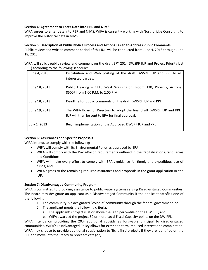# **Section 4: Agreement to Enter Data into PBR and NIMS**

WIFA agrees to enter data into PBR and NIMS. WIFA is currently working with Northbridge Consulting to improve the historical data in NIMS.

#### **Section 5: Description of Public Notice Process and Actions Taken to Address Public Comments**

Public review and written comment period of this IUP will be conducted from June 4, 2013 through June 18, 2013.

WIFA will solicit public review and comment on the draft SFY 2014 DWSRF IUP and Project Priority List (PPL) according to the following schedule:

| June 4, 2013  | Distribution and Web posting of the draft DWSRF IUP and PPL to all<br>interested parties.                                   |
|---------------|-----------------------------------------------------------------------------------------------------------------------------|
| June 18, 2013 | Public Hearing - 1110 West Washington, Room 130, Phoenix, Arizona<br>85007 from 1:00 P.M. to 2:00 P.M.                      |
| June 18, 2013 | Deadline for public comments on the draft DWSRF IUP and PPL.                                                                |
| June 19, 2013 | The WIFA Board of Directors to adopt the final draft DWSRF IUP and PPL.<br>IUP will then be sent to EPA for final approval. |
| July 1, 2013  | Begin implementation of the Approved DWSRF IUP and PPL                                                                      |

# **Section 6: Assurances and Specific Proposals**

WIFA intends to comply with the following:

- WIFA will comply with its Environmental Policy as approved by EPA;
- WIFA will comply with the Davis-Bacon requirements outlined in the Capitalization Grant Terms and Conditions;
- WIFA will make every effort to comply with EPA's guidance for timely and expeditious use of funds; and
- WIFA agrees to the remaining required assurances and proposals in the grant application or the IUP.

# **Section 7: Disadvantaged Community Program**

WIFA is committed to providing assistance to public water systems serving Disadvantaged Communities. The Board may designate an applicant as a Disadvantaged Community if the applicant satisfies one of the following:

- 1. The community is a designated "colonia" community through the federal government, or
- 2. The applicant meets the following criteria:
	- a. The applicant's project is at or above the 50th percentile on the DW PPL; and
	- b. WIFA awarded the project 50 or more Local Fiscal Capacity points on the DW PPL.

WIFA intends on providing the 20% additional subsidy as forgivable principal to disadvantaged communities. WIFA's Disadvantaged Policy allows for extended term, reduced interest or a combination. WIFA may choose to provide additional subsidization to 'fix it first' projects if they are identified on the PPL and move into the 'ready to proceed' category.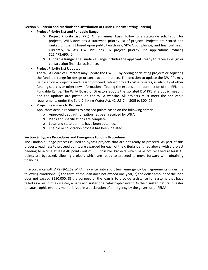# **Section 8: Criteria and Methods for Distribution of Funds (Priority Setting Criteria)**

- **Project Priority List and Fundable Range**
	- o **Project Priority List (PPL):** On an annual basis, following a statewide solicitation for projects, WIFA develops a statewide priority list of projects. Projects are scored and ranked on the list based upon public health risk, SDWA compliance, and financial need. Currently, WIFA's DW PPL has 16 project priority list applications totaling \$26.473.690.40.
	- o **Fundable Range:** The Fundable Range includes the applicants ready to receive design or construction financial assistance.

# **Project Priority List Updates**

The WIFA Board of Directors may update the DW PPL by adding or deleting projects or adjusting the fundable range for design or construction projects. The decision to update the DW PPL may be based on a project's readiness to proceed, refined project cost estimates, availability of other funding sources or other new information affecting the expansion or contraction of the PPL and Fundable Range. The WIFA Board of Directors adopts the updated DW PPL at a public meeting and the updates are posted on the WIFA website. All projects must meet the applicable requirements under the Safe Drinking Water Act, 42 U.S.C. § 300f to 300j‐26.

# **Project Readiness to Proceed**

Applicants accrue readiness to proceed points based on the following criteria:

- o Approved debt authorization has been received by WIFA.
- o Plans and specifications are complete.
- o Local and state permits have been obtained.
- o The bid or solicitation process has been initiated.

# **Section 9: Bypass Procedures and Emergency Funding Procedures**

The Fundable Range process is used to bypass projects that are not ready to proceed. As part of this process, readiness to proceed points are awarded for each of the criteria identified above, with a project needing to accrue at least 40 points out of 100 possible. Projects which have not received at least 40 points are bypassed, allowing projects which are ready to proceed to move forward with obtaining financing.

In accordance with ARS 49‐1269 WIFA may enter into short term emergency loan agreements under the following conditions: 1) the term of the loan does not exceed one year, 2) the dollar amount of the loan does not exceed \$250,000, 3) the purpose of the loan is to provide assistance for systems that have failed as a result of a disaster, a natural disaster or a catastrophic event, 4) the disaster, natural disaster or catastrophic event is memorialized in a declaration of emergency by the governor or FEMA.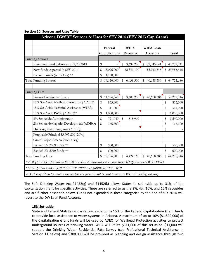| Arizona DWSRF Sources & Uses for SFY 2014 (FFY 2013 Cap Grant)                                        |                  |                 |                            |                  |
|-------------------------------------------------------------------------------------------------------|------------------|-----------------|----------------------------|------------------|
|                                                                                                       |                  |                 |                            |                  |
|                                                                                                       | Federal          | <b>WIFA</b>     | WIFA Loan                  |                  |
|                                                                                                       | Contributions    | Revenues        | Accounts                   | Total            |
| <b>Funding Sources</b>                                                                                |                  |                 |                            |                  |
| Estimated fund balance as of $7/1/2013$                                                               | \$               | 3,692,200<br>\$ | \$<br>37,045,041           | \$40,737,241     |
| New funds expected in SFY 2014                                                                        | 18,026,000       | \$2,346,100     | \$3,613,345                | \$23,985,445     |
| Banked Funds (see below) **                                                                           | \$<br>1,100,000  |                 |                            |                  |
| <b>Total Funding Sources</b>                                                                          | \$19,126,000     | \$<br>6,038,300 | $\mathbb{S}$<br>40,658,386 | \$64,722,686     |
|                                                                                                       |                  |                 |                            |                  |
| <b>Funding Uses</b>                                                                                   |                  |                 |                            |                  |
| Financial Assistance Loans                                                                            | \$<br>14,994,360 | 3,605,200<br>\$ | \$<br>40,658,386           | 59,257,946<br>\$ |
| 15% Set-Aside Wellhead Protection (ADEQ)                                                              | \$<br>833,000    |                 |                            | \$<br>833,000    |
| 15% Set-Aside Technical Assistance (WIFA)                                                             | \$<br>311,000    |                 |                            | \$<br>311,000    |
| 10% Set-Aside PWSS (ADEQ)*                                                                            | \$<br>1,000,000  |                 |                            | \$<br>1,000,000  |
| 4% Set-Aside Administration                                                                           | \$<br>721,040    | \$<br>818,960   |                            | \$<br>1,540,000  |
| 2% Set-Aside Capacity Development (ADEQ)                                                              | \$<br>166,600    |                 |                            | \$<br>166,600    |
| Drinking Water Programs (ADEQ)                                                                        |                  |                 |                            | \$               |
| Forgivable Principal \$3,605,200 (20%)                                                                |                  |                 |                            |                  |
| Green Project Reserve (voluntary)                                                                     |                  |                 |                            |                  |
| Banked FY 2009 funds **                                                                               | \$<br>500,000    |                 |                            | \$<br>500,000    |
| Banked FY 2010 funds **                                                                               | \$<br>600,000    |                 |                            | \$<br>600,000    |
| <b>Total Funding Uses</b>                                                                             | \$<br>19,126,000 | \$<br>4,424,160 | $\mathbb{S}$<br>40,658,386 | \$64,208,546     |
| * ADEQ PWSS 10% includes \$75,000 Border TA. Required match comes from ADEQ Fees and PWSS FY-93       |                  |                 |                            |                  |
| ** ADEQ has banked \$500K in FFY 2009 and \$600K in FFY 2010                                          |                  |                 |                            |                  |
| WIFA may sell water quality revenue bonds - proceeds will be used to increase WIFA's lending capacity |                  |                 |                            |                  |

# **Section 10: Sources and Uses Table**

The Safe Drinking Water Act §1452(g) and §1452(k) allows States to set aside up to 31% of the capitalization grant for specific activities. These are referred to as the 2%, 4%, 10%, and 15% set‐asides and are further described below. Funds not expended in these categories by the end of SFY 2014 will revert to the DW Loan Fund Account.

# **15% Set‐aside**

State and Federal Statutes allow setting aside up to 15% of the Federal Capitalization Grant funds to provide local assistance to water systems in Arizona. A maximum of up to 10% (\$1,800,000) of the Capitalization Grant funds will be used by ADEQ for Wellhead Protection activities to protect underground sources of drinking water. WIFA will utilize \$311,000 of this set-aside. \$11,000 will support the Drinking Water Residential Rate Survey (see Professional Technical Assistance in Section 11 below) and \$300,000 will be provided as planning and design assistance through two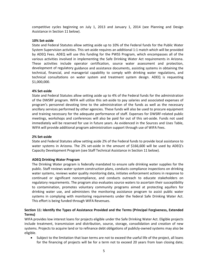competitive cycles beginning on July 1, 2013 and January 1, 2014 (see Planning and Design Assistance in Section 11 below).

#### **10% Set‐aside**

State and Federal Statutes allow setting aside up to 10% of the Federal funds for the Public Water System Supervision activities. This set‐aside requires an additional 1:1 match which will be provided by ADEQ Fees. ADEQ will use this funding for the PWSS Program, which encompasses all of the various activities involved in implementing the Safe Drinking Water Act requirements in Arizona. These activities include operator certification, source water assessment and protection, development of regulatory guidance and assistance documents, assisting systems in obtaining the technical, financial, and managerial capability to comply with drinking water regulations, and technical consultations on water system and treatment system design. ADEQ is requesting \$1,000,000.

#### **4% Set‐aside**

State and Federal Statutes allow setting aside up to 4% of the Federal funds for the administration of the DWSRF program. WIFA will utilize this set‐aside to pay salaries and associated expenses of program's personnel devoting time to the administration of the funds as well as the necessary ancillary services performed by other agencies. These funds will also be used to procure equipment and training necessary for the adequate performance of staff. Expenses for DWSRF‐related public meetings, workshops and conferences will also be paid for out of this set‐aside. Funds not used immediately will be reserved for use in future years. As evidenced in the Sources and Uses Table, WIFA will provide additional program administration support through use of WIFA Fees.

## **2% Set‐aside**

State and Federal Statutes allow setting aside 2% of the Federal funds to provide local assistance to water systems in Arizona. The 2% set-aside in the amount of \$166,600 will be used by ADEQ's Capacity Development Program (see Staff Technical Assistance in Section 11 below).

# **ADEQ Drinking Water Program**

The Drinking Water program is federally mandated to ensure safe drinking water supplies for the public. Staff reviews water system construction plans, conducts compliance inspections on drinking water systems, reviews water quality monitoring data, initiates enforcement actions in response to continued or significant noncompliance, and conducts outreach to educate stakeholders on regulatory requirements. The program also evaluates source waters to ascertain their susceptibility to contamination, promotes voluntary community programs aimed at protecting aquifers for drinking water use, and administers the monitoring assistance program to assist public water systems in complying with monitoring requirements under the federal Safe Drinking Water Act. This effort is being funded through WIFA Revenues.

# **Section 11: Identify the Types of Assistance Provided and the Terms (Principal Forgiveness, Extended Terms)**

WIFA provides low interest loans for projects eligible under the Safe Drinking Water Act. Eligible projects include treatment, transmission and distribution, source, storage, consolidation and creation of new systems. Projects to acquire land or to refinance debt obligations of publicly‐owned systems may also be eligible.

 Subject to the limitation that loan terms are not to exceed the useful life of the project, all loans for the financing of projects will be for a term not to exceed 20 years from loan closing date;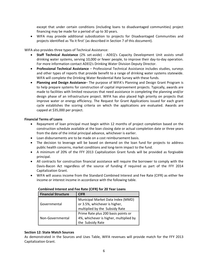except that under certain conditions (including loans to disadvantaged communities) project financing may be made for a period of up to 30 years.

 WIFA may provide additional subsidization to projects for Disadvantaged Communities and projects identified as 'fix it first' (as described in Section 7 of this document).

WIFA also provides three types of Technical Assistance:

- **Staff Technical Assistance** (2% set‐aside) *‐*  ADEQ's Capacity Development Unit assists small drinking water systems, serving 10,000 or fewer people, to improve their day‐to‐day operation. For more information contact ADEQ's Drinking Water Division Deputy Director.
- **Professional Technical Assistance** Professional Technical Assistance includes studies, surveys and other types of reports that provide benefit to a range of drinking water systems statewide. WIFA will complete the Drinking Water Residential Rate Survey with these funds.
- **Planning and Design Assistance** The purpose of WIFA's Planning and Design Grant Program is to help prepare systems for construction of capital improvement projects. Typically, awards are made to facilities with limited resources that need assistance in completing the planning and/or design phase of an infrastructure project. WIFA has also placed high priority on projects that improve water or energy efficiency. The Request for Grant Applications issued for each grant cycle establishes the scoring criteria on which the applications are evaluated. Awards are capped at \$35,000 per project.

#### **Financial Terms of Loans**

- Repayment of loan principal must begin within 12 months of project completion based on the construction schedule available at the loan closing date or actual completion date or three years from the date of the initial principal advance, whichever is earlier.
- Loan disbursements are to be made on a cost reimbursement basis.
- The decision to leverage will be based on demand on the loan fund for projects to address public health concerns, market conditions and long‐term impact to the fund.
- A minimum of 20% of the FFY 2013 Capitalization Grant funds will be provided as forgivable principal.
- All contracts for construction financial assistance will require the borrower to comply with the Davis‐Bacon Act regardless of the source of funding if required as part of the FFY 2014 Capitalization Grant.
- WIFA will assess income from the Standard Combined Interest and Fee Rate (CIFR) as either fee income or interest income in accordance with the following table.

| <b>Financial Structure</b> | <b>CIFR</b>                            |
|----------------------------|----------------------------------------|
|                            | Municipal Market Data Index (MMD)      |
| Governmental               | or 3.5%, whichever is higher,          |
|                            | multiplied by the Subsidy Rate         |
|                            | Prime Rate plus 200 basis points or    |
| Non-Governmental           | 4%, whichever is higher, multiplied by |
|                            | the Subsidy Rate                       |

# **Combined Interest and Fee Rate (CIFR) for 20 Year Loans**

# **Section 12: State Match Sources**

As demonstrated in the Sources and Uses Table, WIFA revenues will provide match for the FFY 2013 Capitalization Grant.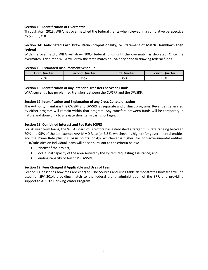# **Section 13: Identification of Overmatch**

Through April 2013, WIFA has overmatched the federal grants when viewed in a cumulative perspective by \$5,568,318.

# **Section 14: Anticipated Cash Draw Ratio (proportionality) or Statement of Match Drawdown then Federal**

With the overmatch, WIFA will draw 100% federal funds until the overmatch is depleted. Once the overmatch is depleted WIFA will draw the state match equivalency prior to drawing federal funds.

# **Section 15: Estimated Disbursement Schedule**

| <b>First Quarter</b> | Second Quarter | <b>Third Quarter</b> | <b>Fourth Quarter</b> |
|----------------------|----------------|----------------------|-----------------------|
| 20%                  | 35%            | 35%                  | 10%                   |

# **Section 16: Identification of any Intended Transfers between Funds**

WIFA currently has no planned transfers between the CWSRF and the DWSRF.

# **Section 17: Identification and Explanation of any Cross Collateralization**

The Authority maintains the CWSRF and DWSRF as separate and distinct programs. Revenues generated by either program will remain within that program. Any transfers between funds will be temporary in nature and done only to alleviate short term cash shortages.

# **Section 18: Combined Interest and Fee Rate (CIFR)**

For 20 year term loans, the WIFA Board of Directors has established a target CIFR rate ranging between 70% and 95% of the tax‐exempt AAA MMD Rate (or 3.5%, whichever is higher) for governmental entities and the Prime Rate plus 200 basis points (or 4%, whichever is higher) for non-governmental entities. CIFR/subsidies on individual loans will be set pursuant to the criteria below:

- Priority of the project;
- Local fiscal capacity of the area served by the system requesting assistance; and,
- Lending capacity of Arizona's DWSRF.

# **Section 19: Fees Charged if Applicable and Uses of Fees**

Section 11 describes how fees are charged. The Sources and Uses table demonstrates how fees will be used for SFY 2014, providing match to the federal grant, administration of the SRF, and providing support to ADEQ's Drinking Water Program.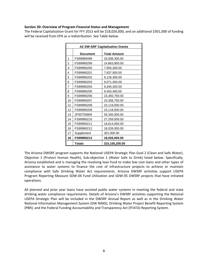#### **Section 20: Overview of Program Financial Status and Management**

The Federal Capitalization Grant for FFY 2013 will be \$18,026,000, and an additional \$301,000 of funding will be received from EPA as a redistribution. See Table below.

|                |                 | <b>AZ DW-SRF Capitalization Grants</b> |
|----------------|-----------------|----------------------------------------|
|                | <b>Document</b> | <b>Total Amount</b>                    |
| 1              | FS99989498      | 16,938,300.00                          |
| 2              | FS99990299      | 14,863,800.00                          |
| 3              | FS99990200      | 7,905,300.00                           |
| 4              | FS99990201      | 7,937,900.00                           |
| 5              | FS99990202      | 9,126,300.00                           |
| 6              | FS99990203      | 9,071,400.00                           |
| $\overline{7}$ | FS99990204      | 9,345,300.00                           |
| 8              | FS99990205      | 9,455,400.00                           |
| 9              | FS99990206      | 23,350,750.00                          |
| 10             | FS99990207      | 23,358,750.00                          |
| 11             | FS99990208      | 23,118,000.00                          |
| 12             | FS99990209      | 23,118,000.00                          |
| 13             | 2F00T05809      | 55,340,000.00                          |
| 14             | FS99990210      | 27,259,000.00                          |
| 15             | FS99990211      | 18,614,000.00                          |
| 16             | FS99990212      | 18,026,000.00                          |
| 17             | Supplement      | 301,000.00                             |
| 18             | FS99990213      | 18,026,000.00                          |
|                | <b>Totals</b>   | 315,155,200.00                         |

The Arizona DWSRF program supports the National USEPA Strategic Plan Goal 2 (Clean and Safe Water), Objective 1 (Protect Human Health), Sub‐objective 1 (Water Safe to Drink) listed below. Specifically, Arizona established and is managing the revolving loan fund to make low cost loans and other types of assistance to water systems to finance the cost of infrastructure projects to achieve or maintain compliance with Safe Drinking Water Act requirements. Arizona DWSRF activities support USEPA Program Reporting Measure SDW‐04 Fund Utilization and SDW‐05 DWSRF projects that have initiated operations.

All planned and prior year loans have assisted public water systems in meeting the federal and state drinking water compliance requirements. Details of Arizona's DWSRF activities supporting the National USEPA Strategic Plan will be included in the DWSRF Annual Report as well as in the Drinking Water National Information Management System (DW NIMS), Drinking Water Project Benefit Reporting System (PBR); and the Federal Funding Accountability and Transparency Act (FFATA) Reporting System.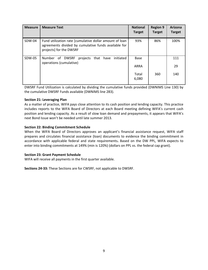| <b>Measure</b> | <b>Measure Text</b>                                                                                                                        | <b>National</b><br><b>Target</b> | <b>Region 9</b><br><b>Target</b> | Arizona<br><b>Target</b> |
|----------------|--------------------------------------------------------------------------------------------------------------------------------------------|----------------------------------|----------------------------------|--------------------------|
| SDW-04         | Fund utilization rate [cumulative dollar amount of loan<br>agreements divided by cumulative funds available for<br>projects] for the DWSRF | 93%                              | 86%                              | 100%                     |
| SDW-05         | Number of DWSRF<br>projects<br>that have<br>initiated<br>operations (cumulative)                                                           | <b>Base</b>                      |                                  | 111                      |
|                |                                                                                                                                            | ARRA                             |                                  | 29                       |
|                |                                                                                                                                            | Total<br>6,080                   | 360                              | 140                      |

DWSRF Fund Utilization is calculated by dividing the cumulative funds provided (DWNIMS Line 130) by the cumulative DWSRF Funds available (DWNIMS line 283).

#### **Section 21: Leveraging Plan**

As a matter of practice, WIFA pays close attention to its cash position and lending capacity. This practice includes reports to the WIFA Board of Directors at each Board meeting defining WIFA's current cash position and lending capacity. As a result of slow loan demand and prepayments, it appears that WIFA's next Bond Issue won't be needed until late summer 2013.

#### **Section 22: Binding Commitment Schedule**

When the WIFA Board of Directors approves an applicant's financial assistance request, WIFA staff prepares and circulates financial assistance (loan) documents to evidence the binding commitment in accordance with applicable federal and state requirements**.** Based on the DW PPL, WIFA expects to enter into binding commitments at 149% (min is 120%) (dollars on PPL vs. the federal cap grant).

#### **Section 23: Grant Payment Schedule**

WIFA will receive all payments in the first quarter available.

**Sections 24‐33:** These Sections are for CWSRF, not applicable to DWSRF.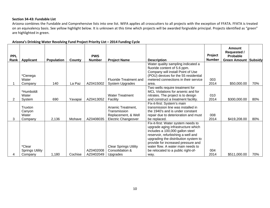#### **Section 34‐43: Fundable List**

Arizona combines the Fundable and Comprehensive lists into one list. WIFA applies all crosscutters to all projects with the exception of FFATA. FFATA is treated on an equivalency basis. See yellow highlight below. It is unknown at this time which projects will be awarded forgivable principal. Projects identified as "green" are highlighted in green.

| <b>PPL</b><br>Rank | <b>Applicant</b>       | <b>Population</b> | County  | <b>PWS</b><br><b>Number</b> | <b>Project Name</b>                | <b>Description</b>                                                        | Project<br><b>Number</b> | <b>Amount</b><br><b>Requested /</b><br><b>Probable</b><br><b>Green Amount</b> | Subsidy |
|--------------------|------------------------|-------------------|---------|-----------------------------|------------------------------------|---------------------------------------------------------------------------|--------------------------|-------------------------------------------------------------------------------|---------|
|                    |                        |                   |         |                             |                                    | Water quality sampling indicated a                                        |                          |                                                                               |         |
|                    |                        |                   |         |                             |                                    | fluoride content of 5.6 ppm.                                              |                          |                                                                               |         |
|                    |                        |                   |         |                             |                                    | Company will install Point of Use                                         |                          |                                                                               |         |
|                    | *Cienega               |                   |         |                             |                                    | (POU) devices for the 55 residential                                      |                          |                                                                               |         |
|                    | Water                  |                   |         |                             | <b>Fluoride Treatment and</b>      | metered connections in their service                                      | 003                      |                                                                               |         |
|                    | Company                | 140               | La Paz  | AZ0415002                   | System Upgrades                    | area.                                                                     | 2014                     | \$50,000.00                                                                   | 70%     |
|                    |                        |                   |         |                             |                                    | Two wells require treatment for                                           |                          |                                                                               |         |
|                    | *Humboldt              |                   |         |                             |                                    | MCL Violations for arsenic and for                                        |                          |                                                                               |         |
| 2                  | Water                  | 690               | Yavapai | AZ0413052                   | <b>Water Treatment</b><br>Facility | nitrates. The project is to design<br>and construct a treatment facility. | 010<br>2014              | \$300,000.00                                                                  | 80%     |
|                    | System                 |                   |         |                             |                                    | Fix-it-first: System's main                                               |                          |                                                                               |         |
|                    | Truxton                |                   |         |                             | Arsenic Treatment,                 | transmission line was installed in                                        |                          |                                                                               |         |
|                    | Canyon                 |                   |         |                             | Transmission                       | the 1940's and is under constant                                          |                          |                                                                               |         |
|                    | Water                  |                   |         |                             | Replacement, & Well                | repair due to deterioration and must                                      | 008                      |                                                                               |         |
| 3                  | Company                | 2,136             | Mohave  | AZ0408035                   | <b>Electric Changeover</b>         | be replaced.                                                              | 2014                     | \$419,208.00                                                                  | 80%     |
|                    |                        |                   |         |                             |                                    | Fix-it-first: Water system needs to                                       |                          |                                                                               |         |
|                    |                        |                   |         |                             |                                    | upgrade aging infrastructure which                                        |                          |                                                                               |         |
|                    |                        |                   |         |                             |                                    | includes a 100,000 gallon steel                                           |                          |                                                                               |         |
|                    |                        |                   |         |                             |                                    | reservoir, refurbishing a well and                                        |                          |                                                                               |         |
|                    |                        |                   |         |                             |                                    | upgrading the distribution system to                                      |                          |                                                                               |         |
|                    |                        |                   |         |                             |                                    | provide for increased pressure and                                        |                          |                                                                               |         |
|                    | *Clear                 |                   |         |                             | <b>Clear Springs Utility</b>       | water flow. A water main needs to                                         |                          |                                                                               |         |
| 4                  | <b>Springs Utility</b> | 1,180             | Cochise | AZ0402008<br>AZ0402049      | Consolidation &                    | be relocated to a public right-of-                                        | 004<br>2014              | \$511,000.00                                                                  | 70%     |
|                    | Company                |                   |         |                             | Upgrades                           | way.                                                                      |                          |                                                                               |         |

#### **Arizona's Drinking Water Revolving Fund Project Priority List – 2014 Funding Cycle**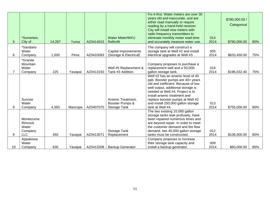| 5. | *Somerton,<br>City of                    | 14,287 | Yuma     | AZ0414015 | <b>Water Meter/MXU</b><br>Reftrofit                   | Fix-it-first: Water meters are over 30<br>years old and inaccurate, and are<br>either read manually or require<br>reading by a hand-held receiver.<br>City will install new meters with<br>radio frequency transmitters to<br>eliminate monthly meter read-time<br>and accurately measure water use.                   | 014<br>2014 | \$780,000.00 /<br>Categorical<br>\$780,000.00 | 80% |
|----|------------------------------------------|--------|----------|-----------|-------------------------------------------------------|------------------------------------------------------------------------------------------------------------------------------------------------------------------------------------------------------------------------------------------------------------------------------------------------------------------------|-------------|-----------------------------------------------|-----|
|    | *Sandario                                |        |          |           |                                                       | The company will construct a                                                                                                                                                                                                                                                                                           |             |                                               |     |
| 6  | Water<br>Company                         | 1,000  | Pima     | AZ0410093 | Capital Improvements<br>(Storage & Electrical)        | storage tank at Well #2 and install<br>electrical upgrades at Well #3.                                                                                                                                                                                                                                                 | 005<br>2014 | \$633,450.00                                  | 75% |
|    | *Granite<br>Mountain<br>Water<br>Company | 225    | Yavapai  | AZ0413150 | Well #5 Replacement &<br>Tank #3 Addition             | Company proposes to purchase a<br>replacement well and a 50,000-<br>gallon storage tank.                                                                                                                                                                                                                               | 016<br>2014 | \$196,032.40                                  | 75% |
| 8. | Sunrise<br>Water<br>Company              | 4,350  | Maricopa | AZ0407070 | Arsenic Treatment,<br>Booster Pumps &<br>Storage Tank | Well #2 has an arsenic level of 40<br>ppb. Booster pumps are 40+ years<br>old and inefficient. Because of low<br>well output, additional storage is<br>needed at Well #4. Project is to<br>install arsenic treatment and<br>replace booster pumps at Well #2<br>and install 250,000 gallon storage<br>tank at Well #4. | 013<br>2014 | \$755,000.00                                  | 80% |
|    | Montezuma<br>Rimrock<br>Water<br>Company |        |          |           | Storage Tank                                          | The two existing 10,000 gallon<br>storage tanks leak profusely, have<br>been repaired numerous times and<br>are beyond repair. In order to meet<br>the customer demand and fire flow<br>demand, two 40,000 gallon storage                                                                                              | 012         |                                               |     |
| 9  | <b>LLC</b>                               | 450    | Yavapai  | AZ0413071 | Replacement                                           | tanks must be constructed.                                                                                                                                                                                                                                                                                             | 2014        | \$108,000.00                                  | 80% |
| 10 | Appaloosa<br>Water<br>Company            | 630    | Yavapai  | AZ0413208 | <b>Backup Generator</b>                               | Company proposes to increase<br>their storage tank capacity and<br>install a backup generator.                                                                                                                                                                                                                         | 009<br>2014 | \$60,000.00                                   | 80% |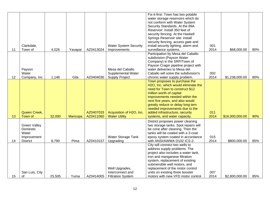|    |                     |        |          |           |                              | Fix-it-first: Town has two potable                                  |      |                 |     |
|----|---------------------|--------|----------|-----------|------------------------------|---------------------------------------------------------------------|------|-----------------|-----|
|    |                     |        |          |           |                              | water storage reservoirs which do                                   |      |                 |     |
|    |                     |        |          |           |                              | not conform with Water System<br>Security Standards. At the 89A     |      |                 |     |
|    |                     |        |          |           |                              | Reservoir: install 350 feet of                                      |      |                 |     |
|    |                     |        |          |           |                              | security fencing. At the Haskell                                    |      |                 |     |
|    |                     |        |          |           |                              | Springs Reservoir site: install                                     |      |                 |     |
|    |                     |        |          |           |                              | security fencing, access gate and                                   |      |                 |     |
|    | Clarkdale,          |        |          |           | <b>Water System Security</b> | install security lighting, alarm and                                | 001  |                 |     |
| 11 | Town of             | 4,026  | Yavapai  | AZ0413024 | Improvements                 | surveillance systems.                                               | 2014 | \$68,000.00     | 80% |
|    |                     |        |          |           |                              | Participation by Mesa del Caballo                                   |      |                 |     |
|    |                     |        |          |           |                              | subdivision (Payson Water                                           |      |                 |     |
|    |                     |        |          |           |                              | Company) in the SRP/Town of                                         |      |                 |     |
|    | Payson              |        |          |           | Mesa del Caballo             | Payson Cragin pipeline project with<br>water deliveries to Mesa del |      |                 |     |
|    | Water               |        |          |           | Supplemental Water           | Caballo will solve the subdivision's                                | 002  |                 |     |
| 12 | Company, Inc        | 1,148  | Gila     | AZ0404030 | <b>Supply Project</b>        | chronic water supply problem.                                       | 2014 | \$1,238,000.00  | 80% |
|    |                     |        |          |           |                              | Town proposes to purchase the                                       |      |                 |     |
|    |                     |        |          |           |                              | H2O, Inc. which would eliminate the                                 |      |                 |     |
|    |                     |        |          |           |                              | need for Town to construct \$12                                     |      |                 |     |
|    |                     |        |          |           |                              | million worth of capital                                            |      |                 |     |
|    |                     |        |          |           |                              | improvements needed within the                                      |      |                 |     |
|    |                     |        |          |           |                              | next five years, and also would                                     |      |                 |     |
|    |                     |        |          |           |                              | greatly reduce or delay long tern                                   |      |                 |     |
|    | Queen Creek,        |        |          | AZ0407033 | Acquisition of H2O, Inc.     | needed improvements due to the<br>added infrastructure, security    | 011  |                 |     |
| 13 | Town of             | 32,000 | Maricopa | AZ0411060 | <b>Water Utility</b>         | systems, and water capacity.                                        | 2014 | \$16,000,000.00 | 90% |
|    |                     |        |          |           |                              | District proposes power cleaning                                    |      |                 |     |
|    | <b>Green Valley</b> |        |          |           |                              | two storage tanks. Spot repairs will                                |      |                 |     |
|    | Domestic            |        |          |           |                              | be cone after cleaning. Then the                                    |      |                 |     |
|    | Water               |        |          |           |                              | tanks will be coated with a 3-coat                                  |      |                 |     |
|    | Improvement         |        |          |           | Water Storage Tank           | epoxy system coated in accordance                                   | 015  |                 |     |
| 14 | <b>District</b>     | 8,790  | Pima     | AZ0410157 | Upgrading                    | with ANSI/AWWA D102 ICS-2.                                          | 2014 | \$800,000.00    | 85% |
|    |                     |        |          |           |                              | City will connect two wells to                                      |      |                 |     |
|    |                     |        |          |           |                              | address supply problems. The                                        |      |                 |     |
|    |                     |        |          |           |                              | project also includes a water tank,                                 |      |                 |     |
|    |                     |        |          |           |                              | iron and manganese filtration<br>system, replacement of existing    |      |                 |     |
|    |                     |        |          |           |                              | submersible well motors, and                                        |      |                 |     |
|    |                     |        |          |           | Well Upgrades,               | replacement of the motor control                                    |      |                 |     |
|    | San Luis, City      |        |          |           | Interconnect and             | units on existing three booster                                     | 007  |                 |     |
| 15 | 0f                  | 25,505 | Yuma     | AZ0414005 | <b>Filtration System</b>     | motors with new VFD motor control.                                  | 2014 | \$2,800,000.00  | 85% |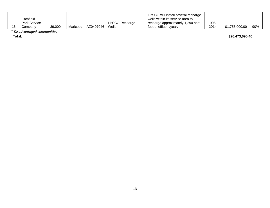|    |                     |        |          |             |                | LPSCO will install several recharge |      |                |     |
|----|---------------------|--------|----------|-------------|----------------|-------------------------------------|------|----------------|-----|
|    | _itchfield          |        |          |             |                | wells within its service area to    |      |                |     |
|    | <b>Park Service</b> |        |          |             | LPSCO Recharge | recharge approximately 1,290 acre   | 006  |                |     |
| 16 | ompanvٽ             | 39,000 | Maricopa | AZ0407046 l | Wells          | feet of effluent/year.              | 2014 | \$1,755,000.00 | 90% |

\* *Disadvantaged communities*

**Total:**

**\$26,473,690.40**